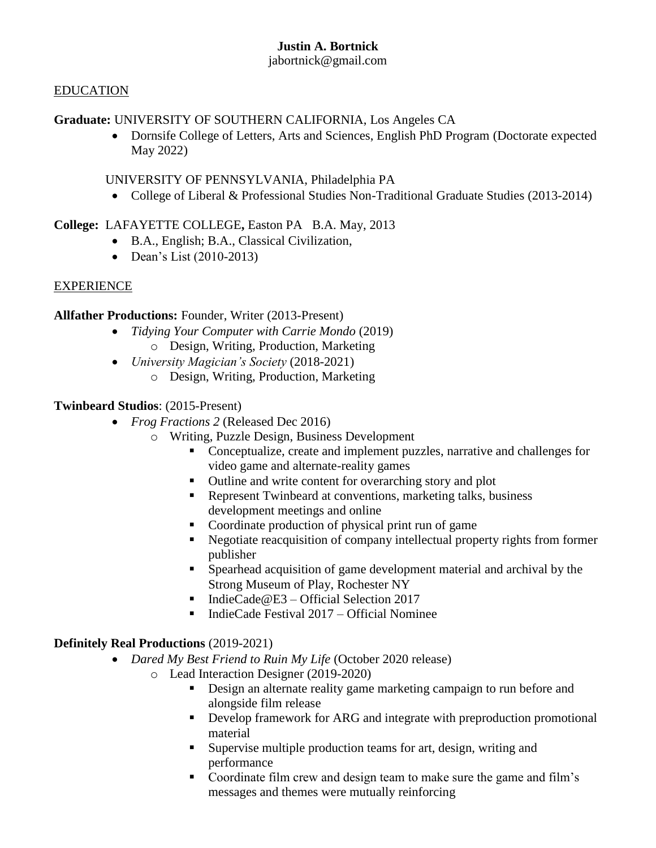# **Justin A. Bortnick**

### jabortnick@gmail.com

## EDUCATION

# **Graduate:** UNIVERSITY OF SOUTHERN CALIFORNIA, Los Angeles CA

 Dornsife College of Letters, Arts and Sciences, English PhD Program (Doctorate expected May 2022)

UNIVERSITY OF PENNSYLVANIA, Philadelphia PA

• College of Liberal & Professional Studies Non-Traditional Graduate Studies (2013-2014)

**College:** LAFAYETTE COLLEGE**,** Easton PA B.A. May, 2013

- B.A., English; B.A., Classical Civilization,
- Dean's List (2010-2013)

# EXPERIENCE

**Allfather Productions:** Founder, Writer (2013-Present)

- *Tidying Your Computer with Carrie Mondo* (2019) o Design, Writing, Production, Marketing
- *University Magician's Society* (2018-2021)
	- o Design, Writing, Production, Marketing

**Twinbeard Studios**: (2015-Present)

- *Frog Fractions 2* (Released Dec 2016)
	- o Writing, Puzzle Design, Business Development
		- Conceptualize, create and implement puzzles, narrative and challenges for video game and alternate-reality games
		- Outline and write content for overarching story and plot
		- Represent Twinbeard at conventions, marketing talks, business development meetings and online
		- Coordinate production of physical print run of game
		- Negotiate reacquisition of company intellectual property rights from former publisher
		- Spearhead acquisition of game development material and archival by the Strong Museum of Play, Rochester NY
		- IndieCade@E3 Official Selection 2017
		- IndieCade Festival 2017 Official Nominee

# **Definitely Real Productions** (2019-2021)

- *Dared My Best Friend to Ruin My Life* (October 2020 release)
	- o Lead Interaction Designer (2019-2020)
		- Design an alternate reality game marketing campaign to run before and alongside film release
		- **•** Develop framework for ARG and integrate with preproduction promotional material
		- Supervise multiple production teams for art, design, writing and performance
		- Coordinate film crew and design team to make sure the game and film's messages and themes were mutually reinforcing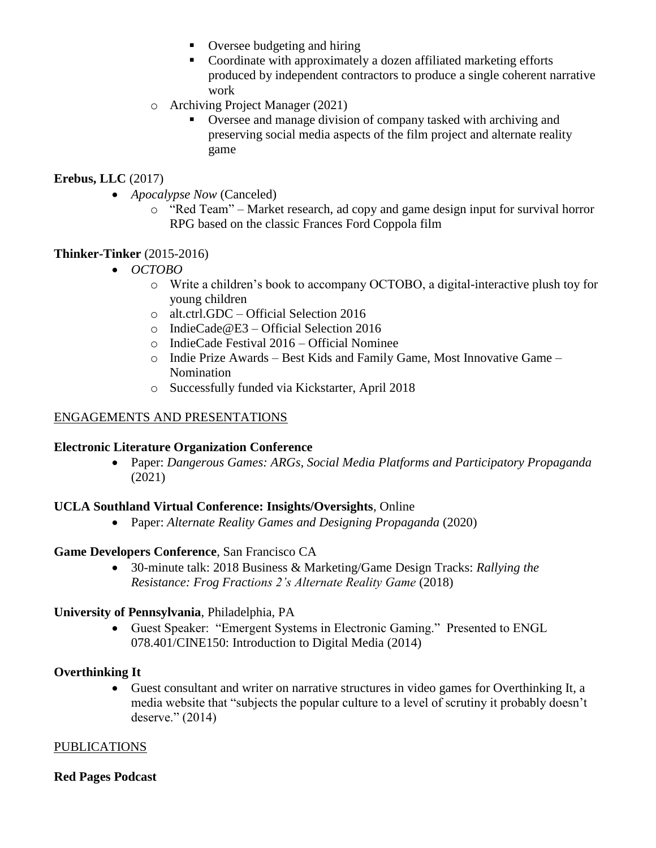- Oversee budgeting and hiring
- Coordinate with approximately a dozen affiliated marketing efforts produced by independent contractors to produce a single coherent narrative work
- o Archiving Project Manager (2021)
	- Oversee and manage division of company tasked with archiving and preserving social media aspects of the film project and alternate reality game

## **Erebus, LLC** (2017)

- *Apocalypse Now* (Canceled)
	- o "Red Team" Market research, ad copy and game design input for survival horror RPG based on the classic Frances Ford Coppola film

### **Thinker-Tinker** (2015-2016)

- *OCTOBO*
	- o Write a children's book to accompany OCTOBO, a digital-interactive plush toy for young children
	- o alt.ctrl.GDC Official Selection 2016
	- o IndieCade@E3 Official Selection 2016
	- o IndieCade Festival 2016 Official Nominee
	- o Indie Prize Awards Best Kids and Family Game, Most Innovative Game Nomination
	- o Successfully funded via Kickstarter, April 2018

### ENGAGEMENTS AND PRESENTATIONS

#### **Electronic Literature Organization Conference**

 Paper: *Dangerous Games: ARGs, Social Media Platforms and Participatory Propaganda*  (2021)

#### **UCLA Southland Virtual Conference: Insights/Oversights**, Online

Paper: *Alternate Reality Games and Designing Propaganda* (2020)

#### **Game Developers Conference**, San Francisco CA

 30-minute talk: 2018 Business & Marketing/Game Design Tracks: *Rallying the Resistance: Frog Fractions 2's Alternate Reality Game* (2018)

#### **University of Pennsylvania**, Philadelphia, PA

 Guest Speaker: "Emergent Systems in Electronic Gaming." Presented to ENGL 078.401/CINE150: Introduction to Digital Media (2014)

#### **Overthinking It**

 Guest consultant and writer on narrative structures in video games for Overthinking It, a media website that "subjects the popular culture to a level of scrutiny it probably doesn't deserve." (2014)

#### PUBLICATIONS

#### **Red Pages Podcast**